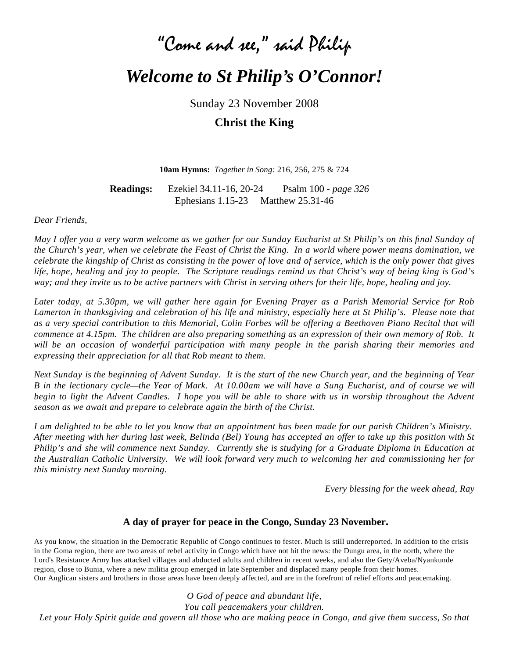# "Come and see," said Philip *Welcome to St Philip's O'Connor!*

Sunday 23 November 2008

**Christ the King**

**10am Hymns:** *Together in Song:* 216, 256, 275 & 724

**Readings:** Ezekiel 34.11-16, 20-24 Psalm 100 - *page 326* Ephesians 1.15-23 Matthew 25.31-46

*Dear Friends,*

*May I offer you a very warm welcome as we gather for our Sunday Eucharist at St Philip's on this final Sunday of the Church's year, when we celebrate the Feast of Christ the King. In a world where power means domination, we celebrate the kingship of Christ as consisting in the power of love and of service, which is the only power that gives life, hope, healing and joy to people. The Scripture readings remind us that Christ's way of being king is God's way; and they invite us to be active partners with Christ in serving others for their life, hope, healing and joy.* 

*Later today, at 5.30pm, we will gather here again for Evening Prayer as a Parish Memorial Service for Rob Lamerton in thanksgiving and celebration of his life and ministry, especially here at St Philip's. Please note that as a very special contribution to this Memorial, Colin Forbes will be offering a Beethoven Piano Recital that will commence at 4.15pm. The children are also preparing something as an expression of their own memory of Rob. It*  will be an occasion of wonderful participation with many people in the parish sharing their memories and *expressing their appreciation for all that Rob meant to them.*

*Next Sunday is the beginning of Advent Sunday. It is the start of the new Church year, and the beginning of Year B in the lectionary cycle—the Year of Mark. At 10.00am we will have a Sung Eucharist, and of course we will begin to light the Advent Candles. I hope you will be able to share with us in worship throughout the Advent season as we await and prepare to celebrate again the birth of the Christ.*

*I am delighted to be able to let you know that an appointment has been made for our parish Children's Ministry. After meeting with her during last week, Belinda (Bel) Young has accepted an offer to take up this position with St Philip's and she will commence next Sunday. Currently she is studying for a Graduate Diploma in Education at the Australian Catholic University. We will look forward very much to welcoming her and commissioning her for this ministry next Sunday morning.*

*Every blessing for the week ahead, Ray*

#### **A day of prayer for peace in the Congo, Sunday 23 November.**

As you know, the situation in the Democratic Republic of Congo continues to fester. Much is still underreported. In addition to the crisis in the Goma region, there are two areas of rebel activity in Congo which have not hit the news: the Dungu area, in the north, where the Lord's Resistance Army has attacked villages and abducted adults and children in recent weeks, and also the Gety/Aveba/Nyankunde region, close to Bunia, where a new militia group emerged in late September and displaced many people from their homes. Our Anglican sisters and brothers in those areas have been deeply affected, and are in the forefront of relief efforts and peacemaking.

*O God of peace and abundant life, You call peacemakers your children. Let your Holy Spirit guide and govern all those who are making peace in Congo, and give them success, So that*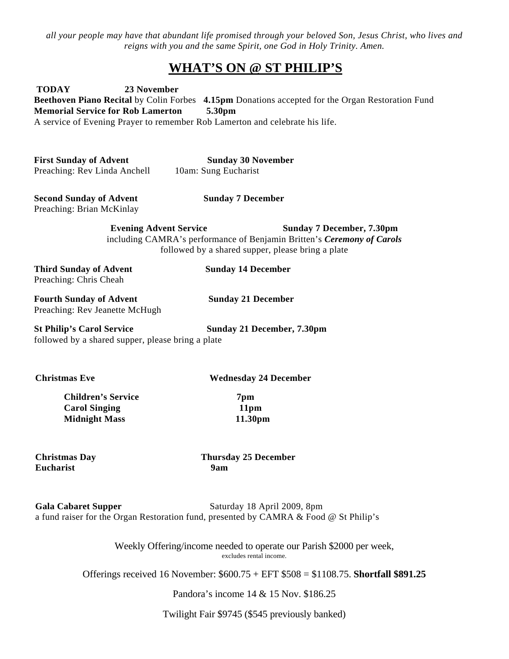*all your people may have that abundant life promised through your beloved Son, Jesus Christ, who lives and reigns with you and the same Spirit, one God in Holy Trinity. Amen.*

#### **WHAT'S ON @ ST PHILIP'S**

**TODAY 23 November Beethoven Piano Recital** by Colin Forbes **4.15pm** Donations accepted for the Organ Restoration Fund **Memorial Service for Rob Lamerton 5.30pm** A service of Evening Prayer to remember Rob Lamerton and celebrate his life.

**First Sunday of Advent Sunday 30 November** Preaching: Rev Linda Anchell 10am: Sung Eucharist

**Second Sunday of Advent Sunday 7 December** Preaching: Brian McKinlay

**Evening Advent Service Sunday 7 December, 7.30pm** including CAMRA's performance of Benjamin Britten's *Ceremony of Carols* followed by a shared supper, please bring a plate

**Third Sunday of Advent Sunday 14 December** Preaching: Chris Cheah

**Fourth Sunday of Advent Sunday 21 December** Preaching: Rev Jeanette McHugh

**St Philip's Carol Service Sunday 21 December, 7.30pm** followed by a shared supper, please bring a plate

**Christmas Eve Wednesday 24 December** 

**Children's Service 7pm Carol Singing 11pm Midnight Mass 11.30pm**

**Eucharist 9am**

**Christmas Day Thursday 25 December**

Gala Cabaret Supper<br>
Saturday 18 April 2009, 8pm a fund raiser for the Organ Restoration fund, presented by CAMRA & Food @ St Philip's

> Weekly Offering/income needed to operate our Parish \$2000 per week, excludes rental income.

Offerings received 16 November: \$600.75 + EFT \$508 = \$1108.75. **Shortfall \$891.25**

Pandora's income 14 & 15 Nov. \$186.25

Twilight Fair \$9745 (\$545 previously banked)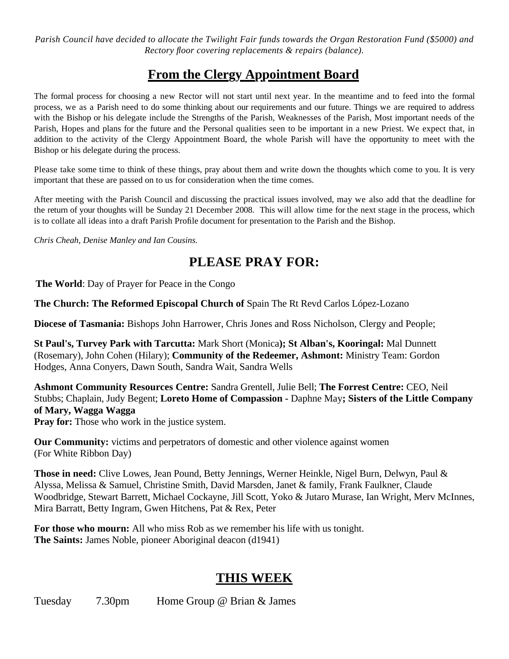*Parish Council have decided to allocate the Twilight Fair funds towards the Organ Restoration Fund (\$5000) and Rectory floor covering replacements & repairs (balance).*

### **From the Clergy Appointment Board**

The formal process for choosing a new Rector will not start until next year. In the meantime and to feed into the formal process, we as a Parish need to do some thinking about our requirements and our future. Things we are required to address with the Bishop or his delegate include the Strengths of the Parish, Weaknesses of the Parish, Most important needs of the Parish, Hopes and plans for the future and the Personal qualities seen to be important in a new Priest. We expect that, in addition to the activity of the Clergy Appointment Board, the whole Parish will have the opportunity to meet with the Bishop or his delegate during the process.

Please take some time to think of these things, pray about them and write down the thoughts which come to you. It is very important that these are passed on to us for consideration when the time comes.

After meeting with the Parish Council and discussing the practical issues involved, may we also add that the deadline for the return of your thoughts will be Sunday 21 December 2008. This will allow time for the next stage in the process, which is to collate all ideas into a draft Parish Profile document for presentation to the Parish and the Bishop.

*Chris Cheah, Denise Manley and Ian Cousins.*

## **PLEASE PRAY FOR:**

**The World**: Day of Prayer for Peace in the Congo

**The Church: The Reformed Episcopal Church of** Spain The Rt Revd Carlos López-Lozano

**Diocese of Tasmania:** Bishops John Harrower, Chris Jones and Ross Nicholson, Clergy and People;

**St Paul's, Turvey Park with Tarcutta:** Mark Short (Monica**); St Alban's, Kooringal:** Mal Dunnett (Rosemary), John Cohen (Hilary); **Community of the Redeemer, Ashmont:** Ministry Team: Gordon Hodges, Anna Conyers, Dawn South, Sandra Wait, Sandra Wells

**Ashmont Community Resources Centre:** Sandra Grentell, Julie Bell; **The Forrest Centre:** CEO, Neil Stubbs; Chaplain, Judy Begent; **Loreto Home of Compassion -** Daphne May**; Sisters of the Little Company of Mary, Wagga Wagga**

**Pray for:** Those who work in the justice system.

**Our Community:** victims and perpetrators of domestic and other violence against women (For White Ribbon Day)

**Those in need:** Clive Lowes, Jean Pound, Betty Jennings, Werner Heinkle, Nigel Burn, Delwyn, Paul & Alyssa, Melissa & Samuel, Christine Smith, David Marsden, Janet & family, Frank Faulkner, Claude Woodbridge, Stewart Barrett, Michael Cockayne, Jill Scott, Yoko & Jutaro Murase, Ian Wright, Merv McInnes, Mira Barratt, Betty Ingram, Gwen Hitchens, Pat & Rex, Peter

**For those who mourn:** All who miss Rob as we remember his life with us tonight. **The Saints:** James Noble, pioneer Aboriginal deacon (d1941)

#### **THIS WEEK**

Tuesday 7.30pm Home Group @ Brian & James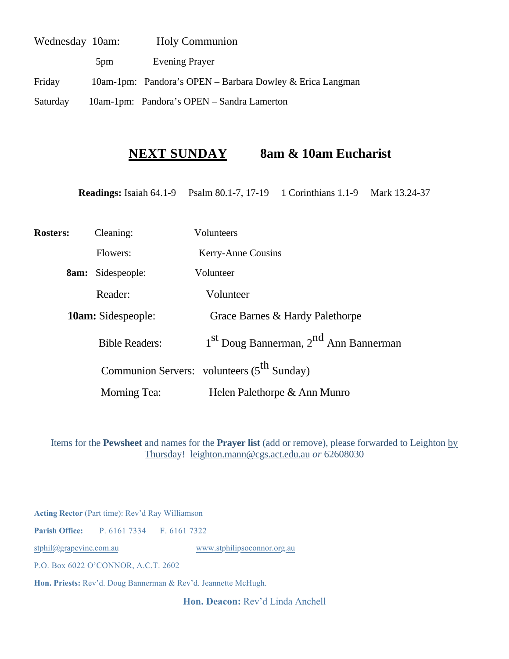| Wednesday 10am: | <b>Holy Communion</b> |                                                           |
|-----------------|-----------------------|-----------------------------------------------------------|
|                 | 5 <sub>pm</sub>       | <b>Evening Prayer</b>                                     |
| Friday          |                       | 10am-1pm: Pandora's OPEN – Barbara Dowley & Erica Langman |
| Saturday        |                       | 10am-1pm: Pandora's OPEN - Sandra Lamerton                |

#### **NEXT SUNDAY 8am & 10am Eucharist**

**Readings:** Isaiah 64.1-9 Psalm 80.1-7, 17-19 1 Corinthians 1.1-9 Mark 13.24-37

| <b>Rosters:</b> | Cleaning:                 | Volunteers                                                    |
|-----------------|---------------------------|---------------------------------------------------------------|
|                 | Flowers:                  | Kerry-Anne Cousins                                            |
|                 | <b>8am:</b> Sidespeople:  | Volunteer                                                     |
|                 | Reader:                   | Volunteer                                                     |
|                 | <b>10am:</b> Sidespeople: | Grace Barnes & Hardy Palethorpe                               |
|                 | <b>Bible Readers:</b>     | 1 <sup>st</sup> Doug Bannerman, 2 <sup>nd</sup> Ann Bannerman |
|                 |                           | Communion Servers: volunteers (5 <sup>th</sup> Sunday)        |
|                 | <b>Morning Tea:</b>       | Helen Palethorpe & Ann Munro                                  |

Items for the **Pewsheet** and names for the **Prayer list** (add or remove), please forwarded to Leighton by Thursday! [leighton.mann@cgs.act.edu.au](mailto:leighton.mann@cgs.act.edu.au) *or* 62608030

**Acting Rector** (Part time): Rev'd Ray Williamson

**Parish Office:** P. 6161 7334 F. 6161 7322

[stphil@grapevine.com.au](mailto:stphil@grapevine.com.au) [www.stphilipsoconnor.org.au](http://www.stphilipsoconnor.org.au/)

P.O. Box 6022 O'CONNOR, A.C.T. 2602

**Hon. Priests:** Rev'd. Doug Bannerman & Rev'd. Jeannette McHugh.

**Hon. Deacon:** Rev'd Linda Anchell